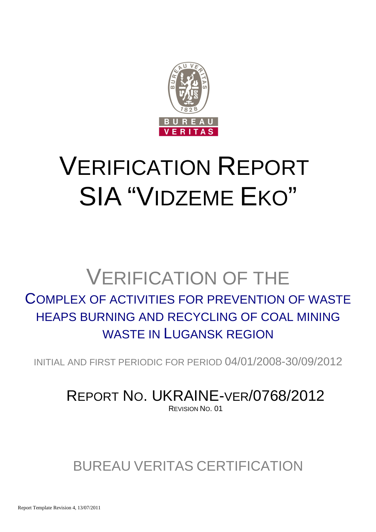

# VERIFICATION REPORT SIA "VIDZEME EKO"

# VERIFICATION OF THE

### COMPLEX OF ACTIVITIES FOR PREVENTION OF WASTE HEAPS BURNING AND RECYCLING OF COAL MINING WASTE IN LUGANSK REGION

INITIAL AND FIRST PERIODIC FOR PERIOD 04/01/2008-30/09/2012

### REPORT NO. UKRAINE-VER/0768/2012 REVISION NO. 01

## BUREAU VERITAS CERTIFICATION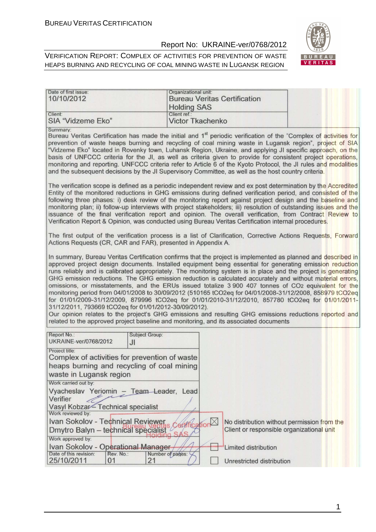Date of first issue:

#### Report No: UKRAINE-ver/0768/2012

Organizational unit:



| 10/10/2012                                                                                                                                                                                                                                                                                                                                                                                                                                                                                                                                                                                                                                                                                                                                                                                                                                                                                                                                                                                                                                                                                                                                                                         | <b>Holding SAS</b>                      | <b>Bureau Veritas Certification</b>                             |                                                                                          |
|------------------------------------------------------------------------------------------------------------------------------------------------------------------------------------------------------------------------------------------------------------------------------------------------------------------------------------------------------------------------------------------------------------------------------------------------------------------------------------------------------------------------------------------------------------------------------------------------------------------------------------------------------------------------------------------------------------------------------------------------------------------------------------------------------------------------------------------------------------------------------------------------------------------------------------------------------------------------------------------------------------------------------------------------------------------------------------------------------------------------------------------------------------------------------------|-----------------------------------------|-----------------------------------------------------------------|------------------------------------------------------------------------------------------|
| Client:<br>SIA "Vidzeme Eko"                                                                                                                                                                                                                                                                                                                                                                                                                                                                                                                                                                                                                                                                                                                                                                                                                                                                                                                                                                                                                                                                                                                                                       | Client ref.:<br><b>Victor Tkachenko</b> |                                                                 |                                                                                          |
| Summary:<br>Bureau Veritas Certification has made the initial and 1 <sup>st</sup> periodic verification of the "Complex of activities for<br>prevention of waste heaps burning and recycling of coal mining waste in Lugansk region", project of SIA<br>"Vidzeme Eko" located in Rovenky town, Luhansk Region, Ukraine, and applying JI specific approach, on the<br>basis of UNFCCC criteria for the JI, as well as criteria given to provide for consistent project operations,<br>monitoring and reporting. UNFCCC criteria refer to Article 6 of the Kyoto Protocol, the JI rules and modalities<br>and the subsequent decisions by the JI Supervisory Committee, as well as the host country criteria.<br>The verification scope is defined as a periodic independent review and ex post determination by the Accredited<br>Entity of the monitored reductions in GHG emissions during defined verification period, and consisted of the<br>following three phases: i) desk review of the monitoring report against project design and the baseline and<br>monitoring plan; ii) follow-up interviews with project stakeholders; iii) resolution of outstanding issues and the |                                         |                                                                 |                                                                                          |
| issuance of the final verification report and opinion. The overall verification, from Contract Review to<br>Verification Report & Opinion, was conducted using Bureau Veritas Certification internal procedures.                                                                                                                                                                                                                                                                                                                                                                                                                                                                                                                                                                                                                                                                                                                                                                                                                                                                                                                                                                   |                                         |                                                                 |                                                                                          |
| The first output of the verification process is a list of Clarification, Corrective Actions Requests, Forward<br>Actions Requests (CR, CAR and FAR), presented in Appendix A.                                                                                                                                                                                                                                                                                                                                                                                                                                                                                                                                                                                                                                                                                                                                                                                                                                                                                                                                                                                                      |                                         |                                                                 |                                                                                          |
| In summary, Bureau Veritas Certification confirms that the project is implemented as planned and described in<br>approved project design documents. Installed equipment being essential for generating emission reduction<br>runs reliably and is calibrated appropriately. The monitoring system is in place and the project is generating<br>GHG emission reductions. The GHG emission reduction is calculated accurately and without material errors,<br>omissions, or misstatements, and the ERUs issued totalize 3 900 407 tonnes of CO2 equivalent for the<br>monitoring period from 04/01/2008 to 30/09/2012 (510165 tCO2eq for 04/01/2008-31/12/2008, 858979 tCO2eq<br>for 01/01/2009-31/12/2009, 879996 tCO2eq for 01/01/2010-31/12/2010, 857780 tCO2eq for 01/01/2011-<br>31/12/2011, 793669 tCO2eq for 01/01/2012-30/09/2012).<br>Our opinion relates to the project's GHG emissions and resulting GHG emissions reductions reported and<br>related to the approved project baseline and monitoring, and its associated documents                                                                                                                                       |                                         |                                                                 |                                                                                          |
| Report No.:<br>Subject Group:<br><b>UKRAINE-ver/0768/2012</b><br>JI                                                                                                                                                                                                                                                                                                                                                                                                                                                                                                                                                                                                                                                                                                                                                                                                                                                                                                                                                                                                                                                                                                                |                                         |                                                                 |                                                                                          |
| Project title:<br>Complex of activities for prevention of waste<br>heaps burning and recycling of coal mining<br>waste in Lugansk region<br>Work carried out by:<br>Vyacheslav Yeriomin - Team Leader, Lead<br>Verifier<br>Vasyl Kobzar-Technical specialist                                                                                                                                                                                                                                                                                                                                                                                                                                                                                                                                                                                                                                                                                                                                                                                                                                                                                                                       |                                         |                                                                 |                                                                                          |
| Work reviewed by:<br>Ivan Sokolov - Technical Reviewer<br>Dmytro Balyn - technical specialist<br>Work approved by:                                                                                                                                                                                                                                                                                                                                                                                                                                                                                                                                                                                                                                                                                                                                                                                                                                                                                                                                                                                                                                                                 | <b>Cation</b>                           |                                                                 | No distribution without permission from the<br>Client or responsible organizational unit |
| Ivan Sokolov - Operational Manager-<br>Date of this revision:<br>Rev. No.:<br>25/10/2011<br>01                                                                                                                                                                                                                                                                                                                                                                                                                                                                                                                                                                                                                                                                                                                                                                                                                                                                                                                                                                                                                                                                                     | Number of pages:<br>21                  | <b>Limited distribution</b><br><b>Unrestricted distribution</b> |                                                                                          |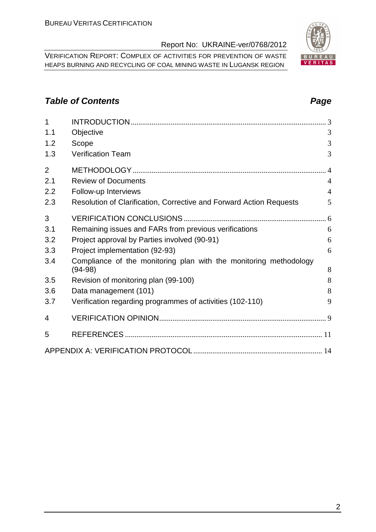VERIFICATION REPORT: COMPLEX OF ACTIVITIES FOR PREVENTION OF WASTE HEAPS BURNING AND RECYCLING OF COAL MINING WASTE IN LUGANSK REGION

#### **Table of Contents Page 2014**

| 1              |                                                                     |                |
|----------------|---------------------------------------------------------------------|----------------|
| 1.1            | Objective                                                           | 3              |
| 1.2            | Scope                                                               | 3              |
| 1.3            | <b>Verification Team</b>                                            | 3              |
| $\overline{2}$ |                                                                     |                |
| 2.1            | <b>Review of Documents</b>                                          | $\overline{4}$ |
| 2.2            | Follow-up Interviews                                                | $\overline{4}$ |
| 2.3            | Resolution of Clarification, Corrective and Forward Action Requests | 5              |
| 3              |                                                                     |                |
| 3.1            | Remaining issues and FARs from previous verifications               | 6              |
| 3.2            | Project approval by Parties involved (90-91)                        | 6              |
| 3.3            | Project implementation (92-93)                                      | 6              |
| 3.4            | Compliance of the monitoring plan with the monitoring methodology   |                |
|                | $(94-98)$                                                           | 8              |
| 3.5            | Revision of monitoring plan (99-100)                                | 8              |
| 3.6            | Data management (101)                                               | 8              |
| 3.7            | Verification regarding programmes of activities (102-110)           | 9              |
| 4              |                                                                     |                |
| 5              |                                                                     |                |
|                |                                                                     |                |

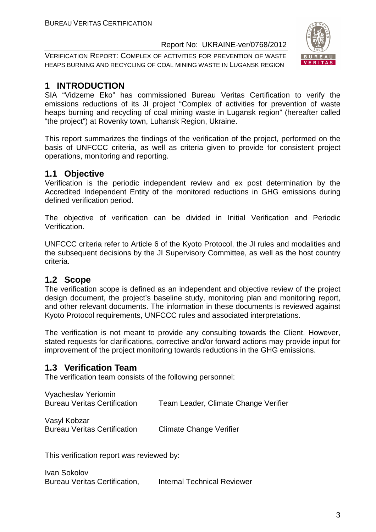VERIFICATION REPORT: COMPLEX OF ACTIVITIES FOR PREVENTION OF WASTE HEAPS BURNING AND RECYCLING OF COAL MINING WASTE IN LUGANSK REGION



#### **1 INTRODUCTION**

SIA "Vidzeme Eko" has commissioned Bureau Veritas Certification to verify the emissions reductions of its JI project "Complex of activities for prevention of waste heaps burning and recycling of coal mining waste in Lugansk region" (hereafter called "the project") at Rovenky town, Luhansk Region, Ukraine.

This report summarizes the findings of the verification of the project, performed on the basis of UNFCCC criteria, as well as criteria given to provide for consistent project operations, monitoring and reporting.

#### **1.1 Objective**

Verification is the periodic independent review and ex post determination by the Accredited Independent Entity of the monitored reductions in GHG emissions during defined verification period.

The objective of verification can be divided in Initial Verification and Periodic Verification.

UNFCCC criteria refer to Article 6 of the Kyoto Protocol, the JI rules and modalities and the subsequent decisions by the JI Supervisory Committee, as well as the host country criteria.

#### **1.2 Scope**

The verification scope is defined as an independent and objective review of the project design document, the project's baseline study, monitoring plan and monitoring report, and other relevant documents. The information in these documents is reviewed against Kyoto Protocol requirements, UNFCCC rules and associated interpretations.

The verification is not meant to provide any consulting towards the Client. However, stated requests for clarifications, corrective and/or forward actions may provide input for improvement of the project monitoring towards reductions in the GHG emissions.

#### **1.3 Verification Team**

The verification team consists of the following personnel:

| Vyacheslav Yeriomin                 |                                      |
|-------------------------------------|--------------------------------------|
| <b>Bureau Veritas Certification</b> | Team Leader, Climate Change Verifier |

Vasyl Kobzar Bureau Veritas Certification Climate Change Verifier

This verification report was reviewed by:

Ivan Sokolov Bureau Veritas Certification, Internal Technical Reviewer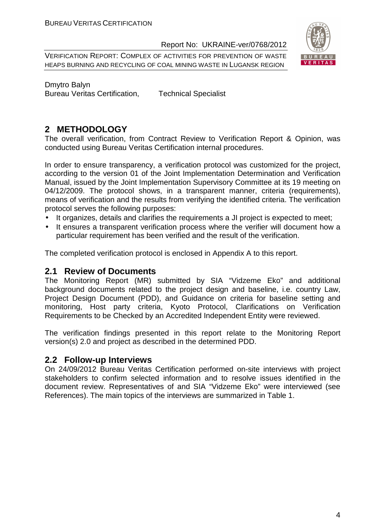VERIFICATION REPORT: COMPLEX OF ACTIVITIES FOR PREVENTION OF WASTE HEAPS BURNING AND RECYCLING OF COAL MINING WASTE IN LUGANSK REGION



Dmytro Balyn Bureau Veritas Certification, Technical Specialist

#### **2 METHODOLOGY**

The overall verification, from Contract Review to Verification Report & Opinion, was conducted using Bureau Veritas Certification internal procedures.

In order to ensure transparency, a verification protocol was customized for the project, according to the version 01 of the Joint Implementation Determination and Verification Manual, issued by the Joint Implementation Supervisory Committee at its 19 meeting on 04/12/2009. The protocol shows, in a transparent manner, criteria (requirements), means of verification and the results from verifying the identified criteria. The verification protocol serves the following purposes:

- It organizes, details and clarifies the requirements a JI project is expected to meet;
- It ensures a transparent verification process where the verifier will document how a particular requirement has been verified and the result of the verification.

The completed verification protocol is enclosed in Appendix A to this report.

#### **2.1 Review of Documents**

The Monitoring Report (MR) submitted by SIA "Vidzeme Eko" and additional background documents related to the project design and baseline, i.e. country Law, Project Design Document (PDD), and Guidance on criteria for baseline setting and monitoring, Host party criteria, Kyoto Protocol, Clarifications on Verification Requirements to be Checked by an Accredited Independent Entity were reviewed.

The verification findings presented in this report relate to the Monitoring Report version(s) 2.0 and project as described in the determined PDD.

#### **2.2 Follow-up Interviews**

On 24/09/2012 Bureau Veritas Certification performed on-site interviews with project stakeholders to confirm selected information and to resolve issues identified in the document review. Representatives of and SIA "Vidzeme Eko" were interviewed (see References). The main topics of the interviews are summarized in Table 1.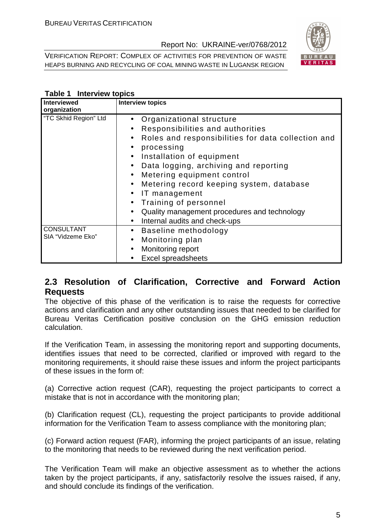VERIFICATION REPORT: COMPLEX OF ACTIVITIES FOR PREVENTION OF WASTE HEAPS BURNING AND RECYCLING OF COAL MINING WASTE IN LUGANSK REGION



#### **Table 1 Interview topics**

| <b>Interviewed</b><br>organization     | <b>Interview topics</b>                                                                                                                                                                                                                                                                                                                                                                                                                                                                                                                                                 |
|----------------------------------------|-------------------------------------------------------------------------------------------------------------------------------------------------------------------------------------------------------------------------------------------------------------------------------------------------------------------------------------------------------------------------------------------------------------------------------------------------------------------------------------------------------------------------------------------------------------------------|
| "TC Skhid Region" Ltd                  | Organizational structure<br>$\bullet$<br>Responsibilities and authorities<br>$\bullet$<br>Roles and responsibilities for data collection and<br>$\bullet$<br>processing<br>$\bullet$<br>Installation of equipment<br>$\bullet$<br>Data logging, archiving and reporting<br>$\bullet$<br>Metering equipment control<br>$\bullet$<br>Metering record keeping system, database<br>$\bullet$<br>IT management<br>$\bullet$<br>Training of personnel<br>$\bullet$<br>Quality management procedures and technology<br>$\bullet$<br>Internal audits and check-ups<br>$\bullet$ |
| <b>CONSULTANT</b><br>SIA "Vidzeme Eko" | Baseline methodology<br>$\bullet$<br>Monitoring plan<br>$\bullet$<br>Monitoring report<br>$\bullet$<br><b>Excel spreadsheets</b>                                                                                                                                                                                                                                                                                                                                                                                                                                        |

#### **2.3 Resolution of Clarification, Corrective and Forward Action Requests**

The objective of this phase of the verification is to raise the requests for corrective actions and clarification and any other outstanding issues that needed to be clarified for Bureau Veritas Certification positive conclusion on the GHG emission reduction calculation.

If the Verification Team, in assessing the monitoring report and supporting documents, identifies issues that need to be corrected, clarified or improved with regard to the monitoring requirements, it should raise these issues and inform the project participants of these issues in the form of:

(a) Corrective action request (CAR), requesting the project participants to correct a mistake that is not in accordance with the monitoring plan;

(b) Clarification request (CL), requesting the project participants to provide additional information for the Verification Team to assess compliance with the monitoring plan;

(c) Forward action request (FAR), informing the project participants of an issue, relating to the monitoring that needs to be reviewed during the next verification period.

The Verification Team will make an objective assessment as to whether the actions taken by the project participants, if any, satisfactorily resolve the issues raised, if any, and should conclude its findings of the verification.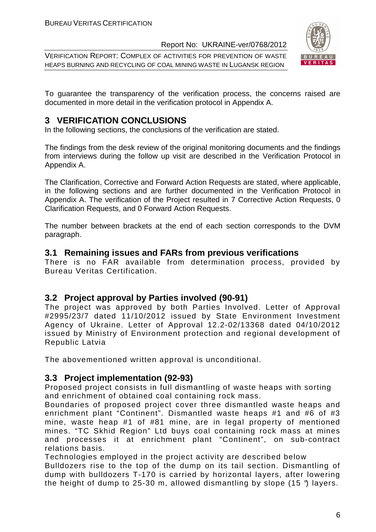VERIFICATION REPORT: COMPLEX OF ACTIVITIES FOR PREVENTION OF WASTE HEAPS BURNING AND RECYCLING OF COAL MINING WASTE IN LUGANSK REGION



To guarantee the transparency of the verification process, the concerns raised are documented in more detail in the verification protocol in Appendix A.

#### **3 VERIFICATION CONCLUSIONS**

In the following sections, the conclusions of the verification are stated.

The findings from the desk review of the original monitoring documents and the findings from interviews during the follow up visit are described in the Verification Protocol in Appendix A.

The Clarification, Corrective and Forward Action Requests are stated, where applicable, in the following sections and are further documented in the Verification Protocol in Appendix A. The verification of the Project resulted in 7 Corrective Action Requests, 0 Clarification Requests, and 0 Forward Action Requests.

The number between brackets at the end of each section corresponds to the DVM paragraph.

#### **3.1 Remaining issues and FARs from previous verifications**

There is no FAR available from determination process, provided by Bureau Veritas Certification.

#### **3.2 Project approval by Parties involved (90-91)**

The project was approved by both Parties Involved. Letter of Approval #2995/23/7 dated 11/10/2012 issued by State Environment Investment Agency of Ukraine. Letter of Approval 12.2-02/13368 dated 04/10/2012 issued by Ministry of Environment protection and regional development of Republic Latvia

The abovementioned written approval is unconditional.

#### **3.3 Project implementation (92-93)**

Proposed project consists in full dismantling of waste heaps with sorting and enrichment of obtained coal containing rock mass.

Boundaries of proposed project cover three dismantled waste heaps and enrichment plant "Continent". Dismantled waste heaps #1 and #6 of #3 mine, waste heap #1 of #81 mine, are in legal property of mentioned mines. "TC Skhid Region" Ltd buys coal containing rock mass at mines and processes it at enrichment plant "Continent", on sub-contract relations basis.

Technologies employed in the project activity are described below Bulldozers rise to the top of the dump on its tail section. Dismantling of dump with bulldozers T-170 is carried by horizontal layers, after lowering the height of dump to 25-30 m, allowed dismantling by slope (15 $\degree$ ) layers.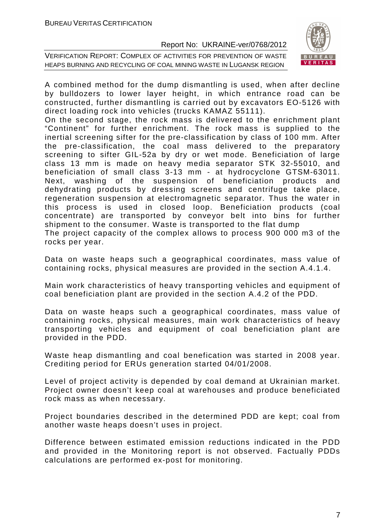



A combined method for the dump dismantling is used, when after decline by bulldozers to lower layer height, in which entrance road can be constructed, further dismantling is carried out by excavators EO-5126 with direct loading rock into vehicles (trucks KAMAZ 55111).

On the second stage, the rock mass is delivered to the enrichment plant "Continent" for further enrichment. The rock mass is supplied to the inertial screening sifter for the pre-classification by class of 100 mm. After the pre-classification, the coal mass delivered to the preparatory screening to sifter GIL-52a by dry or wet mode. Beneficiation of large class 13 mm is made on heavy media separator STK 32-55010, and beneficiation of small class 3-13 mm - at hydrocyclone GTSM-63011. Next, washing of the suspension of beneficiation products and dehydrating products by dressing screens and centrifuge take place, regeneration suspension at electromagnetic separator. Thus the water in this process is used in closed loop. Beneficiation products (coal concentrate) are transported by conveyor belt into bins for further shipment to the consumer. Waste is transported to the flat dump The project capacity of the complex allows to process 900 000 m3 of the rocks per year.

Data on waste heaps such a geographical coordinates, mass value of containing rocks, physical measures are provided in the section A.4.1.4.

Main work characteristics of heavy transporting vehicles and equipment of coal beneficiation plant are provided in the section A.4.2 of the PDD.

Data on waste heaps such a geographical coordinates, mass value of containing rocks, physical measures, main work characteristics of heavy transporting vehicles and equipment of coal beneficiation plant are provided in the PDD.

Waste heap dismantling and coal benefication was started in 2008 year. Crediting period for ERUs generation started 04/01/2008.

Level of project activity is depended by coal demand at Ukrainian market. Project owner doesn't keep coal at warehouses and produce beneficiated rock mass as when necessary.

Project boundaries described in the determined PDD are kept; coal from another waste heaps doesn't uses in project.

Difference between estimated emission reductions indicated in the PDD and provided in the Monitoring report is not observed. Factually PDDs calculations are performed ex-post for monitoring.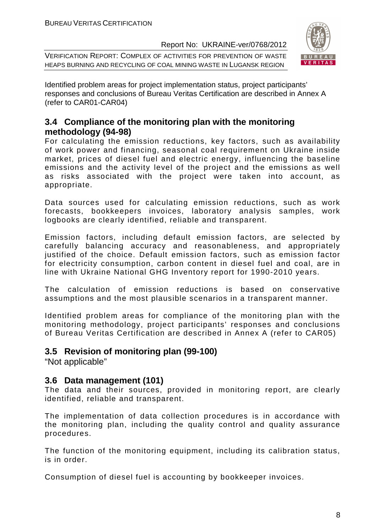VERIFICATION REPORT: COMPLEX OF ACTIVITIES FOR PREVENTION OF WASTE HEAPS BURNING AND RECYCLING OF COAL MINING WASTE IN LUGANSK REGION



Identified problem areas for project implementation status, project participants' responses and conclusions of Bureau Veritas Certification are described in Annex A (refer to CAR01-CAR04)

#### **3.4 Compliance of the monitoring plan with the monitoring methodology (94-98)**

For calculating the emission reductions, key factors, such as availability of work power and financing, seasonal coal requirement on Ukraine inside market, prices of diesel fuel and electric energy, influencing the baseline emissions and the activity level of the project and the emissions as well as risks associated with the project were taken into account, as appropriate.

Data sources used for calculating emission reductions, such as work forecasts, bookkeepers invoices, laboratory analysis samples, work logbooks are clearly identified, reliable and transparent.

Emission factors, including default emission factors, are selected by carefully balancing accuracy and reasonableness, and appropriately justified of the choice. Default emission factors, such as emission factor for electricity consumption, carbon content in diesel fuel and coal, are in line with Ukraine National GHG Inventory report for 1990-2010 years.

The calculation of emission reductions is based on conservative assumptions and the most plausible scenarios in a transparent manner.

Identified problem areas for compliance of the monitoring plan with the monitoring methodology, project participants' responses and conclusions of Bureau Veritas Certification are described in Annex A (refer to CAR05)

#### **3.5 Revision of monitoring plan (99-100)**

"Not applicable"

#### **3.6 Data management (101)**

The data and their sources, provided in monitoring report, are clearly identified, reliable and transparent.

The implementation of data collection procedures is in accordance with the monitoring plan, including the quality control and quality assurance procedures.

The function of the monitoring equipment, including its calibration status, is in order.

Consumption of diesel fuel is accounting by bookkeeper invoices.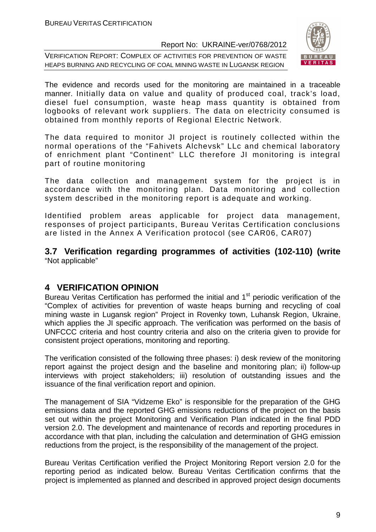VERIFICATION REPORT: COMPLEX OF ACTIVITIES FOR PREVENTION OF WASTE HEAPS BURNING AND RECYCLING OF COAL MINING WASTE IN LUGANSK REGION



The evidence and records used for the monitoring are maintained in a traceable manner. Initially data on value and quality of produced coal, track's load, diesel fuel consumption, waste heap mass quantity is obtained from logbooks of relevant work suppliers. The data on electricity consumed is obtained from monthly reports of Regional Electric Network.

The data required to monitor JI project is routinely collected within the normal operations of the "Fahivets Alchevsk" LLc and chemical laboratory of enrichment plant "Continent" LLC therefore JI monitoring is integral part of routine monitoring

The data collection and management system for the project is in accordance with the monitoring plan. Data monitoring and collection system described in the monitoring report is adequate and working.

Identified problem areas applicable for project data management, responses of project participants, Bureau Veritas Certification conclusions are listed in the Annex A Verification protocol (see CAR06, CAR07)

**3.7 Verification regarding programmes of activities (102-110) (write**  "Not applicable"

#### **4 VERIFICATION OPINION**

Bureau Veritas Certification has performed the initial and 1<sup>st</sup> periodic verification of the "Complex of activities for prevention of waste heaps burning and recycling of coal mining waste in Lugansk region" Project in Rovenky town, Luhansk Region, Ukraine, which applies the JI specific approach. The verification was performed on the basis of UNFCCC criteria and host country criteria and also on the criteria given to provide for consistent project operations, monitoring and reporting.

The verification consisted of the following three phases: i) desk review of the monitoring report against the project design and the baseline and monitoring plan; ii) follow-up interviews with project stakeholders; iii) resolution of outstanding issues and the issuance of the final verification report and opinion.

The management of SIA "Vidzeme Eko" is responsible for the preparation of the GHG emissions data and the reported GHG emissions reductions of the project on the basis set out within the project Monitoring and Verification Plan indicated in the final PDD version 2.0. The development and maintenance of records and reporting procedures in accordance with that plan, including the calculation and determination of GHG emission reductions from the project, is the responsibility of the management of the project.

Bureau Veritas Certification verified the Project Monitoring Report version 2.0 for the reporting period as indicated below. Bureau Veritas Certification confirms that the project is implemented as planned and described in approved project design documents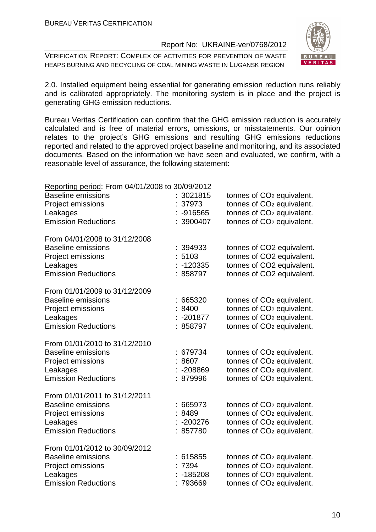VERIFICATION REPORT: COMPLEX OF ACTIVITIES FOR PREVENTION OF WASTE HEAPS BURNING AND RECYCLING OF COAL MINING WASTE IN LUGANSK REGION



2.0. Installed equipment being essential for generating emission reduction runs reliably and is calibrated appropriately. The monitoring system is in place and the project is generating GHG emission reductions.

Bureau Veritas Certification can confirm that the GHG emission reduction is accurately calculated and is free of material errors, omissions, or misstatements. Our opinion relates to the project's GHG emissions and resulting GHG emissions reductions reported and related to the approved project baseline and monitoring, and its associated documents. Based on the information we have seen and evaluated, we confirm, with a reasonable level of assurance, the following statement:

| Reporting period: From 04/01/2008 to 30/09/2012                                                                           |                                           |                                                                                                                                                                  |
|---------------------------------------------------------------------------------------------------------------------------|-------------------------------------------|------------------------------------------------------------------------------------------------------------------------------------------------------------------|
| <b>Baseline emissions</b><br>Project emissions<br>Leakages                                                                | : 3021815<br>37973<br>$-916565$           | tonnes of CO <sub>2</sub> equivalent.<br>tonnes of CO <sub>2</sub> equivalent.<br>tonnes of CO <sub>2</sub> equivalent.                                          |
| <b>Emission Reductions</b>                                                                                                | : 3900407                                 | tonnes of CO <sub>2</sub> equivalent.                                                                                                                            |
| From 04/01/2008 to 31/12/2008<br><b>Baseline emissions</b><br>Project emissions<br>Leakages<br><b>Emission Reductions</b> | : 394933<br>5103<br>$-120335$<br>858797   | tonnes of CO2 equivalent.<br>tonnes of CO2 equivalent.<br>tonnes of CO2 equivalent.<br>tonnes of CO2 equivalent.                                                 |
| From 01/01/2009 to 31/12/2009<br><b>Baseline emissions</b><br>Project emissions<br>Leakages<br><b>Emission Reductions</b> | 665320<br>:8400<br>$: -201877$<br>858797  | tonnes of CO <sub>2</sub> equivalent.<br>tonnes of CO <sub>2</sub> equivalent.<br>tonnes of CO <sub>2</sub> equivalent.<br>tonnes of CO <sub>2</sub> equivalent. |
| From 01/01/2010 to 31/12/2010<br><b>Baseline emissions</b><br>Project emissions<br>Leakages<br><b>Emission Reductions</b> | : 679734<br>8607<br>-208869<br>: 879996   | tonnes of CO <sub>2</sub> equivalent.<br>tonnes of CO <sub>2</sub> equivalent.<br>tonnes of CO <sub>2</sub> equivalent.<br>tonnes of CO <sub>2</sub> equivalent. |
| From 01/01/2011 to 31/12/2011<br><b>Baseline emissions</b><br>Project emissions<br>Leakages<br><b>Emission Reductions</b> | :665973<br>:8489<br>$-200276$<br>: 857780 | tonnes of CO <sub>2</sub> equivalent.<br>tonnes of CO <sub>2</sub> equivalent.<br>tonnes of CO <sub>2</sub> equivalent.<br>tonnes of CO <sub>2</sub> equivalent. |
| From 01/01/2012 to 30/09/2012<br><b>Baseline emissions</b><br>Project emissions<br>Leakages<br><b>Emission Reductions</b> | 615855<br>7394<br>$-185208$<br>: 793669   | tonnes of CO <sub>2</sub> equivalent.<br>tonnes of CO <sub>2</sub> equivalent.<br>tonnes of CO <sub>2</sub> equivalent.<br>tonnes of CO <sub>2</sub> equivalent. |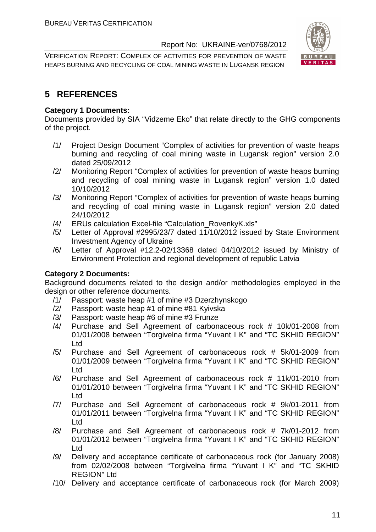VERIFICATION REPORT: COMPLEX OF ACTIVITIES FOR PREVENTION OF WASTE HEAPS BURNING AND RECYCLING OF COAL MINING WASTE IN LUGANSK REGION



#### **5 REFERENCES**

#### **Category 1 Documents:**

Documents provided by SIA "Vidzeme Eko" that relate directly to the GHG components of the project.

- /1/ Project Design Document "Complex of activities for prevention of waste heaps burning and recycling of coal mining waste in Lugansk region" version 2.0 dated 25/09/2012
- /2/ Monitoring Report "Complex of activities for prevention of waste heaps burning and recycling of coal mining waste in Lugansk region" version 1.0 dated 10/10/2012
- /3/ Monitoring Report "Complex of activities for prevention of waste heaps burning and recycling of coal mining waste in Lugansk region" version 2.0 dated 24/10/2012
- /4/ ERUs calculation Excel-file "Calculation\_RovenkyK.xls"
- /5/ Letter of Approval #2995/23/7 dated 11/10/2012 issued by State Environment Investment Agency of Ukraine
- /6/ Letter of Approval #12.2-02/13368 dated 04/10/2012 issued by Ministry of Environment Protection and regional development of republic Latvia

#### **Category 2 Documents:**

Background documents related to the design and/or methodologies employed in the design or other reference documents.

- /1/ Passport: waste heap #1 of mine #3 Dzerzhynskogo
- /2/ Passport: waste heap #1 of mine #81 Kyivska
- /3/ Passport: waste heap #6 of mine #3 Frunze
- /4/ Purchase and Sell Agreement of carbonaceous rock # 10k/01-2008 from 01/01/2008 between "Torgivelna firma "Yuvant I K" and "TC SKHID REGION" Ltd
- /5/ Purchase and Sell Agreement of carbonaceous rock # 5k/01-2009 from 01/01/2009 between "Torgivelna firma "Yuvant I K" and "TC SKHID REGION" Ltd
- /6/ Purchase and Sell Agreement of carbonaceous rock # 11k/01-2010 from 01/01/2010 between "Torgivelna firma "Yuvant I K" and "TC SKHID REGION" Ltd
- /7/ Purchase and Sell Agreement of carbonaceous rock # 9k/01-2011 from 01/01/2011 between "Torgivelna firma "Yuvant I K" and "TC SKHID REGION" Ltd
- /8/ Purchase and Sell Agreement of carbonaceous rock # 7k/01-2012 from 01/01/2012 between "Torgivelna firma "Yuvant I K" and "TC SKHID REGION" Ltd
- /9/ Delivery and acceptance certificate of carbonaceous rock (for January 2008) from 02/02/2008 between "Torgivelna firma "Yuvant I K" and "TC SKHID REGION" Ltd
- /10/ Delivery and acceptance certificate of carbonaceous rock (for March 2009)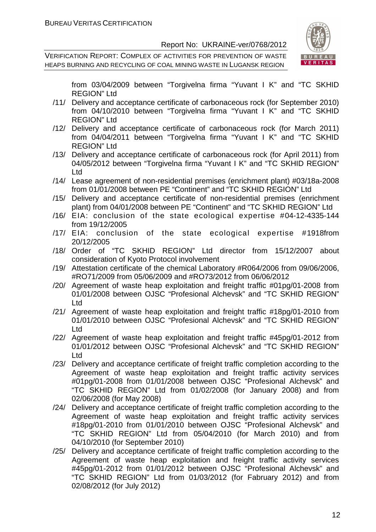VERIFICATION REPORT: COMPLEX OF ACTIVITIES FOR PREVENTION OF WASTE HEAPS BURNING AND RECYCLING OF COAL MINING WASTE IN LUGANSK REGION



from 03/04/2009 between "Torgivelna firma "Yuvant I K" and "TC SKHID REGION" Ltd

- /11/ Delivery and acceptance certificate of carbonaceous rock (for September 2010) from 04/10/2010 between "Torgivelna firma "Yuvant I K" and "TC SKHID REGION" Ltd
- /12/ Delivery and acceptance certificate of carbonaceous rock (for March 2011) from 04/04/2011 between "Torgivelna firma "Yuvant I K" and "TC SKHID REGION" Ltd
- /13/ Delivery and acceptance certificate of carbonaceous rock (for April 2011) from 04/05/2012 between "Torgivelna firma "Yuvant I K" and "TC SKHID REGION" Ltd
- /14/ Lease agreement of non-residential premises (enrichment plant) #03/18a-2008 from 01/01/2008 between PE "Continent" and "TC SKHID REGION" Ltd
- /15/ Delivery and acceptance certificate of non-residential premises (enrichment plant) from 04/01/2008 between PE "Continent" and "TC SKHID REGION" Ltd
- /16/ EIA: conclusion of the state ecological expertise #04-12-4335-144 from 19/12/2005
- /17/ EIA: conclusion of the state ecological expertise #1918from 20/12/2005
- /18/ Order of "TC SKHID REGION" Ltd director from 15/12/2007 about consideration of Kyoto Protocol involvement
- /19/ Attestation certificate of the chemical Laboratory #R064/2006 from 09/06/2006, #RO71/2009 from 05/06/2009 and #RO73/2012 from 06/06/2012
- /20/ Agreement of waste heap exploitation and freight traffic #01pg/01-2008 from 01/01/2008 between OJSC "Profesional Alchevsk" and "TC SKHID REGION" Ltd
- /21/ Agreement of waste heap exploitation and freight traffic #18pg/01-2010 from 01/01/2010 between OJSC "Profesional Alchevsk" and "TC SKHID REGION" Ltd
- /22/ Agreement of waste heap exploitation and freight traffic #45pg/01-2012 from 01/01/2012 between OJSC "Profesional Alchevsk" and "TC SKHID REGION" Ltd
- /23/ Delivery and acceptance certificate of freight traffic completion according to the Agreement of waste heap exploitation and freight traffic activity services #01pg/01-2008 from 01/01/2008 between OJSC "Profesional Alchevsk" and "TC SKHID REGION" Ltd from 01/02/2008 (for January 2008) and from 02/06/2008 (for May 2008)
- /24/ Delivery and acceptance certificate of freight traffic completion according to the Agreement of waste heap exploitation and freight traffic activity services #18pg/01-2010 from 01/01/2010 between OJSC "Profesional Alchevsk" and "TC SKHID REGION" Ltd from 05/04/2010 (for March 2010) and from 04/10/2010 (for September 2010)
- /25/ Delivery and acceptance certificate of freight traffic completion according to the Agreement of waste heap exploitation and freight traffic activity services #45pg/01-2012 from 01/01/2012 between OJSC "Profesional Alchevsk" and "TC SKHID REGION" Ltd from 01/03/2012 (for Fabruary 2012) and from 02/08/2012 (for July 2012)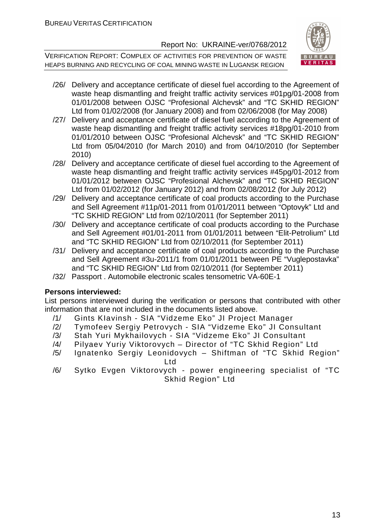VERIFICATION REPORT: COMPLEX OF ACTIVITIES FOR PREVENTION OF WASTE HEAPS BURNING AND RECYCLING OF COAL MINING WASTE IN LUGANSK REGION



- /26/ Delivery and acceptance certificate of diesel fuel according to the Agreement of waste heap dismantling and freight traffic activity services #01pg/01-2008 from 01/01/2008 between OJSC "Profesional Alchevsk" and "TC SKHID REGION" Ltd from 01/02/2008 (for January 2008) and from 02/06/2008 (for May 2008)
- /27/ Delivery and acceptance certificate of diesel fuel according to the Agreement of waste heap dismantling and freight traffic activity services #18pg/01-2010 from 01/01/2010 between OJSC "Profesional Alchevsk" and "TC SKHID REGION" Ltd from 05/04/2010 (for March 2010) and from 04/10/2010 (for September 2010)
- /28/ Delivery and acceptance certificate of diesel fuel according to the Agreement of waste heap dismantling and freight traffic activity services #45pg/01-2012 from 01/01/2012 between OJSC "Profesional Alchevsk" and "TC SKHID REGION" Ltd from 01/02/2012 (for January 2012) and from 02/08/2012 (for July 2012)
- /29/ Delivery and acceptance certificate of coal products according to the Purchase and Sell Agreement #11p/01-2011 from 01/01/2011 between "Optovyk" Ltd and "TC SKHID REGION" Ltd from 02/10/2011 (for September 2011)
- /30/ Delivery and acceptance certificate of coal products according to the Purchase and Sell Agreement #01/01-2011 from 01/01/2011 between "Elit-Petrolium" Ltd and "TC SKHID REGION" Ltd from 02/10/2011 (for September 2011)
- /31/ Delivery and acceptance certificate of coal products according to the Purchase and Sell Agreement #3u-2011/1 from 01/01/2011 between PE "Vuglepostavka" and "TC SKHID REGION" Ltd from 02/10/2011 (for September 2011)
- /32/ Passport . Automobile electronic scales tensometric VA-60E-1

#### **Persons interviewed:**

List persons interviewed during the verification or persons that contributed with other information that are not included in the documents listed above.

- /1/ Gints KIavinsh SIA "Vidzeme Eko" JI Project Manager
- /2/ Tymofeev Sergiy Petrovych SIA "Vidzeme Eko" JI Consultant
- /3/ Stah Yuri Mykhailovych SIA "Vidzeme Eko" JI Consultant
- /4/ Pilyaev Yuriy Viktorovych Director of "TC Skhid Region" Ltd
- /5/ Ignatenko Sergiy Leonidovych Shiftman of "TC Skhid Region" Ltd
- /6/ Sytko Evgen Viktorovych power engineering specialist of "TC Skhid Region" Ltd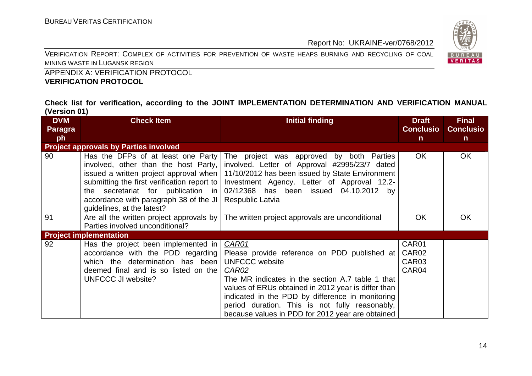VERIFICATION REPORT: COMPLEX OF ACTIVITIES FOR PREVENTION OF WASTE HEAPS BURNING AND RECYCLING OF COAL MINING WASTE IN LUGANSK REGION



 APPENDIX A: VERIFICATION PROTOCOL **VERIFICATION PROTOCOL** 

**Check list for verification, according to the JOINT IMPLEMENTATION DETERMINATION AND VERIFICATION MANUAL (Version 01)** 

| <b>DVM</b>     | <b>Check Item</b>                                                                                                                                                                                                                       | <b>Initial finding</b>                                                                                                                                                                                                                                                                                                                                       | <b>Draft</b>                                 | <b>Final</b>     |
|----------------|-----------------------------------------------------------------------------------------------------------------------------------------------------------------------------------------------------------------------------------------|--------------------------------------------------------------------------------------------------------------------------------------------------------------------------------------------------------------------------------------------------------------------------------------------------------------------------------------------------------------|----------------------------------------------|------------------|
| <b>Paragra</b> |                                                                                                                                                                                                                                         |                                                                                                                                                                                                                                                                                                                                                              | <b>Conclusio</b>                             | <b>Conclusio</b> |
| ph             |                                                                                                                                                                                                                                         |                                                                                                                                                                                                                                                                                                                                                              | $\mathsf{n}$                                 | $\mathsf{n}$     |
|                | <b>Project approvals by Parties involved</b>                                                                                                                                                                                            |                                                                                                                                                                                                                                                                                                                                                              |                                              |                  |
| 90             | Has the DFPs of at least one Party<br>involved, other than the host Party,<br>submitting the first verification report to<br>the secretariat for publication in<br>accordance with paragraph 38 of the JI<br>guidelines, at the latest? | The project was approved by both Parties<br>involved. Letter of Approval #2995/23/7 dated<br>issued a written project approval when   11/10/2012 has been issued by State Environment<br>Investment Agency. Letter of Approval 12.2-<br>02/12368 has been issued 04.10.2012 by<br>Respublic Latvia                                                           | <b>OK</b>                                    | <b>OK</b>        |
| 91             | Are all the written project approvals by<br>Parties involved unconditional?                                                                                                                                                             | The written project approvals are unconditional                                                                                                                                                                                                                                                                                                              | <b>OK</b>                                    | <b>OK</b>        |
|                | <b>Project implementation</b>                                                                                                                                                                                                           |                                                                                                                                                                                                                                                                                                                                                              |                                              |                  |
| 92             | Has the project been implemented in<br>accordance with the PDD regarding<br>which the determination has been<br>deemed final and is so listed on the<br>UNFCCC JI website?                                                              | CAR01<br>Please provide reference on PDD published at<br><b>UNFCCC</b> website<br>CAR02<br>The MR indicates in the section A.7 table 1 that<br>values of ERUs obtained in 2012 year is differ than<br>indicated in the PDD by difference in monitoring<br>period duration. This is not fully reasonably,<br>because values in PDD for 2012 year are obtained | CAR01<br>CAR <sub>02</sub><br>CAR03<br>CAR04 |                  |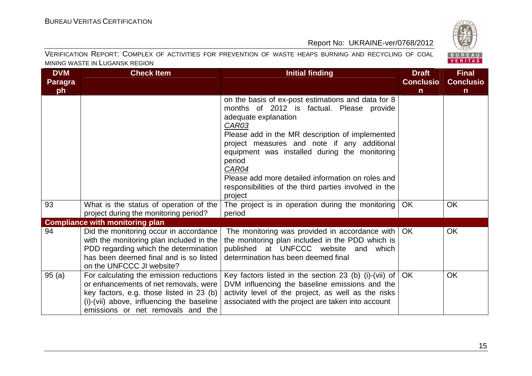

| <b>DVM</b> | <b>Check Item</b>                                                                                                                                                                                              | <b>Initial finding</b>                                                                                                                                                                                                                                                                                                                                                                                                      | <b>Draft</b>     | <b>Final</b>     |
|------------|----------------------------------------------------------------------------------------------------------------------------------------------------------------------------------------------------------------|-----------------------------------------------------------------------------------------------------------------------------------------------------------------------------------------------------------------------------------------------------------------------------------------------------------------------------------------------------------------------------------------------------------------------------|------------------|------------------|
| Paragra    |                                                                                                                                                                                                                |                                                                                                                                                                                                                                                                                                                                                                                                                             | <b>Conclusio</b> | <b>Conclusio</b> |
| ph         |                                                                                                                                                                                                                |                                                                                                                                                                                                                                                                                                                                                                                                                             | n                | $\mathsf{n}$     |
|            |                                                                                                                                                                                                                | on the basis of ex-post estimations and data for 8<br>months of 2012 is factual. Please provide<br>adequate explanation<br><u>CAR03</u><br>Please add in the MR description of implemented<br>project measures and note if any additional<br>equipment was installed during the monitoring<br>period<br>CAR04<br>Please add more detailed information on roles and<br>responsibilities of the third parties involved in the |                  |                  |
|            |                                                                                                                                                                                                                | project                                                                                                                                                                                                                                                                                                                                                                                                                     |                  |                  |
| 93         | What is the status of operation of the<br>project during the monitoring period?                                                                                                                                | The project is in operation during the monitoring<br>period                                                                                                                                                                                                                                                                                                                                                                 | <b>OK</b>        | <b>OK</b>        |
|            | <b>Compliance with monitoring plan</b>                                                                                                                                                                         |                                                                                                                                                                                                                                                                                                                                                                                                                             |                  |                  |
| 94         | Did the monitoring occur in accordance<br>with the monitoring plan included in the<br>PDD regarding which the determination<br>has been deemed final and is so listed<br>on the UNFCCC JI website?             | The monitoring was provided in accordance with<br>the monitoring plan included in the PDD which is<br>published at UNFCCC website and which<br>determination has been deemed final                                                                                                                                                                                                                                          | OK.              | <b>OK</b>        |
| 95(a)      | For calculating the emission reductions<br>or enhancements of net removals, were<br>key factors, e.g. those listed in 23 (b)<br>(i)-(vii) above, influencing the baseline<br>emissions or net removals and the | Key factors listed in the section 23 (b) (i)-(vii) of<br>DVM influencing the baseline emissions and the<br>activity level of the project, as well as the risks<br>associated with the project are taken into account                                                                                                                                                                                                        | <b>OK</b>        | <b>OK</b>        |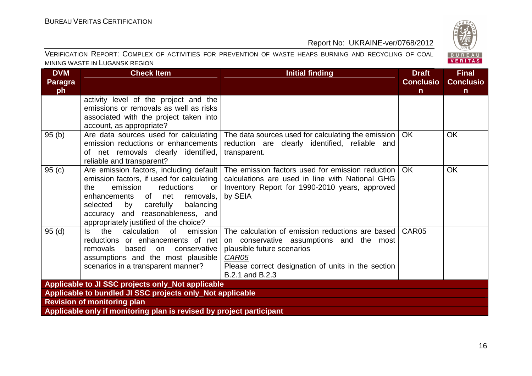

| <b>DVM</b>     | <b>Check Item</b>                                                          | <b>Initial finding</b>                                                 | <b>Draft</b>      | <b>Final</b>     |  |  |  |
|----------------|----------------------------------------------------------------------------|------------------------------------------------------------------------|-------------------|------------------|--|--|--|
| <b>Paragra</b> |                                                                            |                                                                        | <b>Conclusio</b>  | <b>Conclusio</b> |  |  |  |
| ph             |                                                                            |                                                                        | $\mathsf{n}$      | $\mathsf{n}$     |  |  |  |
|                | activity level of the project and the                                      |                                                                        |                   |                  |  |  |  |
|                | emissions or removals as well as risks                                     |                                                                        |                   |                  |  |  |  |
|                | associated with the project taken into                                     |                                                                        |                   |                  |  |  |  |
|                | account, as appropriate?                                                   |                                                                        |                   |                  |  |  |  |
| 95(b)          | Are data sources used for calculating                                      | The data sources used for calculating the emission $\vert$ OK          |                   | <b>OK</b>        |  |  |  |
|                | emission reductions or enhancements                                        | reduction are clearly identified, reliable and                         |                   |                  |  |  |  |
|                | of net removals clearly identified,                                        | transparent.                                                           |                   |                  |  |  |  |
|                | reliable and transparent?                                                  |                                                                        |                   |                  |  |  |  |
| 95(c)          | Are emission factors, including default                                    | The emission factors used for emission reduction                       | OK.               | <b>OK</b>        |  |  |  |
|                | emission factors, if used for calculating                                  | calculations are used in line with National GHG                        |                   |                  |  |  |  |
|                | emission<br>reductions<br>the<br>or                                        | Inventory Report for 1990-2010 years, approved                         |                   |                  |  |  |  |
|                | enhancements of net<br>removals,                                           | by SEIA                                                                |                   |                  |  |  |  |
|                | selected by carefully<br>balancing                                         |                                                                        |                   |                  |  |  |  |
|                | accuracy and reasonableness, and                                           |                                                                        |                   |                  |  |  |  |
|                | appropriately justified of the choice?<br>the                              |                                                                        | CAR <sub>05</sub> |                  |  |  |  |
| 95(d)          | calculation<br>of<br>emission<br>ls l<br>reductions or enhancements of net | The calculation of emission reductions are based                       |                   |                  |  |  |  |
|                | removals<br>based<br>on<br>conservative                                    | on conservative assumptions and the most<br>plausible future scenarios |                   |                  |  |  |  |
|                | assumptions and the most plausible                                         | <b>CAR05</b>                                                           |                   |                  |  |  |  |
|                | scenarios in a transparent manner?                                         | Please correct designation of units in the section                     |                   |                  |  |  |  |
|                |                                                                            | B.2.1 and B.2.3                                                        |                   |                  |  |  |  |
|                | Applicable to JI SSC projects only_Not applicable                          |                                                                        |                   |                  |  |  |  |
|                | Applicable to bundled JI SSC projects only_Not applicable                  |                                                                        |                   |                  |  |  |  |
|                | <b>Revision of monitoring plan</b>                                         |                                                                        |                   |                  |  |  |  |
|                | Applicable only if monitoring plan is revised by project participant       |                                                                        |                   |                  |  |  |  |
|                |                                                                            |                                                                        |                   |                  |  |  |  |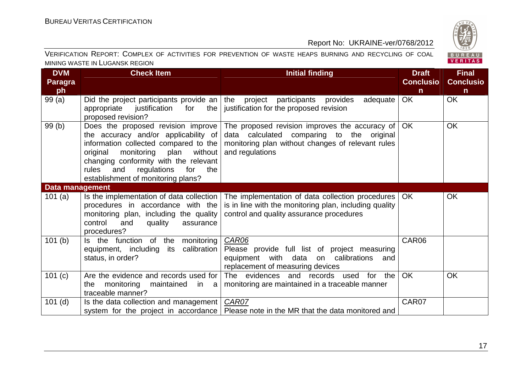

| <b>DVM</b>      | <b>Check Item</b>                                                                                                                                                                                                                                                                      | <b>Initial finding</b>                                                                                                                                              | <b>Draft</b>     | <b>Final</b>     |
|-----------------|----------------------------------------------------------------------------------------------------------------------------------------------------------------------------------------------------------------------------------------------------------------------------------------|---------------------------------------------------------------------------------------------------------------------------------------------------------------------|------------------|------------------|
| <b>Paragra</b>  |                                                                                                                                                                                                                                                                                        |                                                                                                                                                                     | <b>Conclusio</b> | <b>Conclusio</b> |
| ph              |                                                                                                                                                                                                                                                                                        |                                                                                                                                                                     | $\mathsf{n}$     | $\mathsf{n}$     |
| 99(a)           | Did the project participants provide an<br>appropriate<br>justification<br>the<br>for<br>proposed revision?                                                                                                                                                                            | the project participants provides<br>adequate<br>justification for the proposed revision                                                                            | <b>OK</b>        | OK               |
| 99(b)           | Does the proposed revision improve<br>the accuracy and/or applicability of<br>information collected compared to the<br>monitoring plan<br>without<br>original<br>changing conformity with the relevant<br>rules and<br>regulations<br>for<br>the<br>establishment of monitoring plans? | The proposed revision improves the accuracy of<br>data calculated comparing to the original<br>monitoring plan without changes of relevant rules<br>and regulations | OK               | OK               |
| Data management |                                                                                                                                                                                                                                                                                        |                                                                                                                                                                     |                  |                  |
| 101(a)          | Is the implementation of data collection<br>procedures in accordance with the<br>monitoring plan, including the quality<br>control<br>and<br>quality<br>assurance<br>procedures?                                                                                                       | The implementation of data collection procedures<br>is in line with the monitoring plan, including quality<br>control and quality assurance procedures              | OK.              | <b>OK</b>        |
| 101(b)          | Is the function of the<br>monitoring<br>calibration<br>equipment, including its<br>status, in order?                                                                                                                                                                                   | CAR06<br>Please provide full list of project measuring<br>equipment with data on calibrations<br>and<br>replacement of measuring devices                            | CAR06            |                  |
| 101 (c)         | Are the evidence and records used for<br>monitoring<br>maintained in a<br>the<br>traceable manner?                                                                                                                                                                                     | The evidences and records used for the<br>monitoring are maintained in a traceable manner                                                                           | <b>OK</b>        | <b>OK</b>        |
| $101$ (d)       | Is the data collection and management                                                                                                                                                                                                                                                  | CAR07<br>system for the project in accordance   Please note in the MR that the data monitored and                                                                   | CAR07            |                  |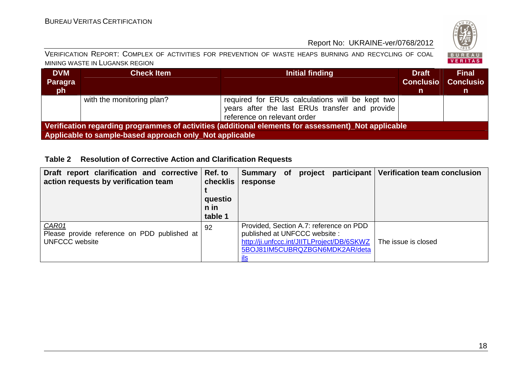

#### VERIFICATION REPORT: COMPLEX OF ACTIVITIES FOR PREVENTION OF WASTE HEAPS BURNING AND RECYCLING OF COAL MINING WASTE IN LUGANSK REGION

| <b>DVM</b>                                                                                          | <b>Check Item</b>                                       | Initial finding                                                                                                                  | <b>Draft</b>     | <b>Final</b>     |  |  |  |
|-----------------------------------------------------------------------------------------------------|---------------------------------------------------------|----------------------------------------------------------------------------------------------------------------------------------|------------------|------------------|--|--|--|
| Paragra                                                                                             |                                                         |                                                                                                                                  | <b>Conclusio</b> | <b>Conclusio</b> |  |  |  |
| ∣ ph l                                                                                              |                                                         |                                                                                                                                  | m.               | n                |  |  |  |
|                                                                                                     | with the monitoring plan?                               | required for ERUs calculations will be kept two<br>years after the last ERUs transfer and provide<br>reference on relevant order |                  |                  |  |  |  |
| Verification regarding programmes of activities (additional elements for assessment) Not applicable |                                                         |                                                                                                                                  |                  |                  |  |  |  |
|                                                                                                     | Applicable to sample-based approach only_Not applicable |                                                                                                                                  |                  |                  |  |  |  |

#### **Table 2 Resolution of Corrective Action and Clarification Requests**

| Draft report clarification and corrective<br>action requests by verification team | Ref. to<br>checklis<br>questio<br>n in<br>table 1 | <b>Summary</b><br>response                                                                                                                              | <b>of</b> | project | participant | <b>Verification team conclusion</b> |
|-----------------------------------------------------------------------------------|---------------------------------------------------|---------------------------------------------------------------------------------------------------------------------------------------------------------|-----------|---------|-------------|-------------------------------------|
| CAR01<br>Please provide reference on PDD published at<br><b>UNFCCC</b> website    | 92                                                | Provided, Section A.7: reference on PDD<br>published at UNFCCC website:<br>http://ji.unfccc.int/JIITLProject/DB/6SKWZ<br>5BOJ81IM5CUBRQZBGN6MDK2AR/deta |           |         |             | The issue is closed                 |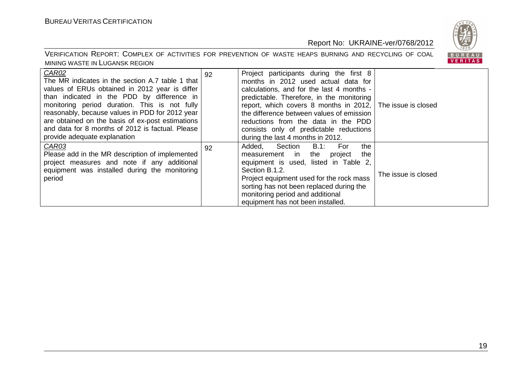

| CAR02<br>The MR indicates in the section A.7 table 1 that<br>values of ERUs obtained in 2012 year is differ<br>than indicated in the PDD by difference in<br>monitoring period duration. This is not fully<br>reasonably, because values in PDD for 2012 year<br>are obtained on the basis of ex-post estimations<br>and data for 8 months of 2012 is factual. Please<br>provide adequate explanation | 92 | Project participants during the first 8<br>months in 2012 used actual data for<br>calculations, and for the last 4 months -<br>predictable. Therefore, in the monitoring<br>report, which covers 8 months in 2012, The issue is closed<br>the difference between values of emission<br>reductions from the data in the PDD<br>consists only of predictable reductions<br>during the last 4 months in 2012. |                     |
|-------------------------------------------------------------------------------------------------------------------------------------------------------------------------------------------------------------------------------------------------------------------------------------------------------------------------------------------------------------------------------------------------------|----|------------------------------------------------------------------------------------------------------------------------------------------------------------------------------------------------------------------------------------------------------------------------------------------------------------------------------------------------------------------------------------------------------------|---------------------|
| CAR03<br>Please add in the MR description of implemented<br>project measures and note if any additional<br>equipment was installed during the monitoring<br>period                                                                                                                                                                                                                                    | 92 | Section<br>B.1:<br>the<br>Added,<br>For<br>the<br>the<br>measurement in<br>project<br>equipment is used, listed in Table 2,<br>Section B.1.2.<br>Project equipment used for the rock mass<br>sorting has not been replaced during the<br>monitoring period and additional<br>equipment has not been installed.                                                                                             | The issue is closed |